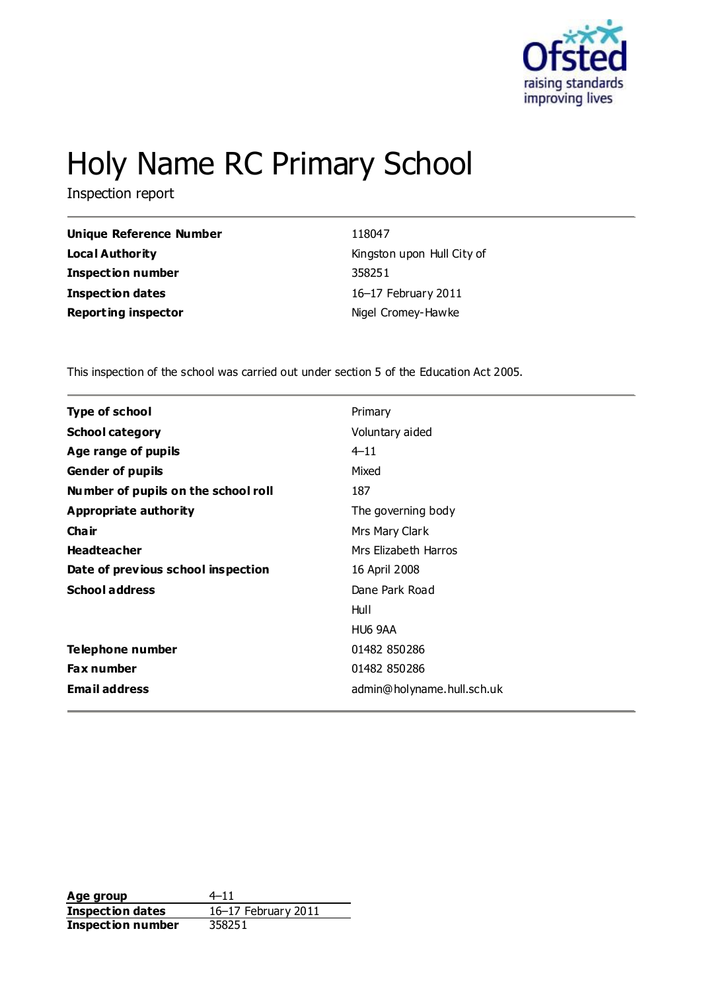

# Holy Name RC Primary School

Inspection report

| <b>Unique Reference Number</b> |
|--------------------------------|
| Local Authority                |
| <b>Inspection number</b>       |
| <b>Inspection dates</b>        |
| <b>Reporting inspector</b>     |

**Unique Reference Number** 118047 **Local Authority** Kingston upon Hull City of **Inspection number** 358251 **Inspection dates** 16–17 February 2011 **Nigel Cromey-Hawke** 

This inspection of the school was carried out under section 5 of the Education Act 2005.

| Type of school                      | Primary                    |
|-------------------------------------|----------------------------|
| <b>School category</b>              | Voluntary aided            |
| Age range of pupils                 | $4 - 11$                   |
| <b>Gender of pupils</b>             | Mixed                      |
| Number of pupils on the school roll | 187                        |
| Appropriate authority               | The governing body         |
| Cha ir                              | Mrs Mary Clark             |
| <b>Headteacher</b>                  | Mrs Elizabeth Harros       |
| Date of previous school inspection  | 16 April 2008              |
| <b>School address</b>               | Dane Park Road             |
|                                     | Hull                       |
|                                     | HU6 9AA                    |
| Telephone number                    | 01482 850286               |
| <b>Fax number</b>                   | 01482 850286               |
| <b>Email address</b>                | admin@holyname.hull.sch.uk |

**Age group** 4–11 **Inspection dates** 16–17 February 2011 **Inspection number** 358251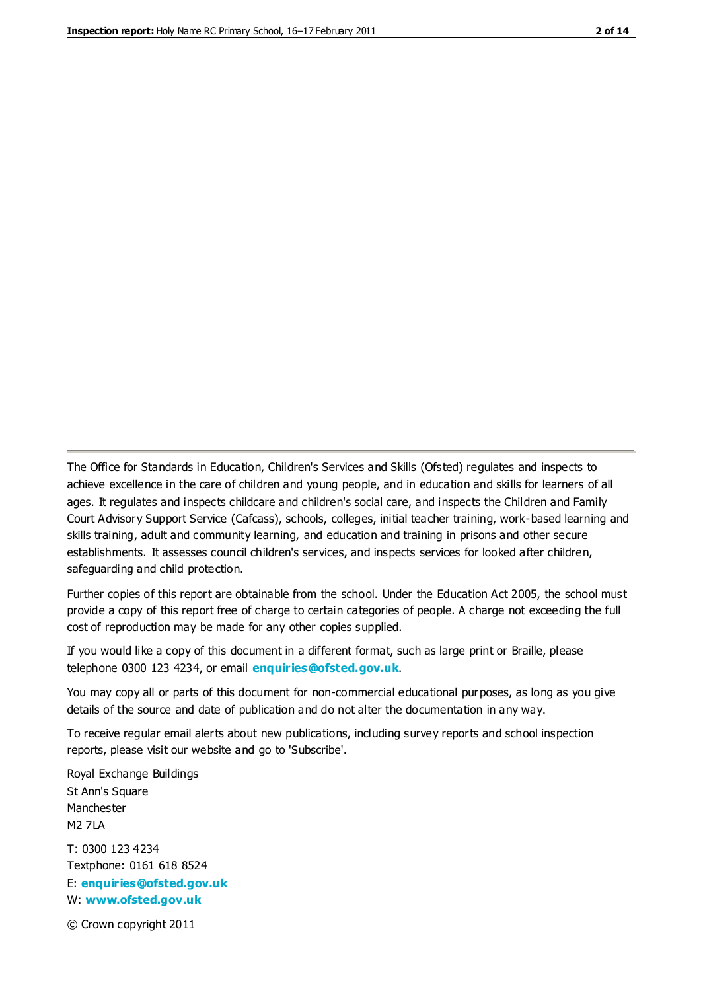The Office for Standards in Education, Children's Services and Skills (Ofsted) regulates and inspects to achieve excellence in the care of children and young people, and in education and skills for learners of all ages. It regulates and inspects childcare and children's social care, and inspects the Children and Family Court Advisory Support Service (Cafcass), schools, colleges, initial teacher training, work-based learning and skills training, adult and community learning, and education and training in prisons and other secure establishments. It assesses council children's services, and inspects services for looked after children, safeguarding and child protection.

Further copies of this report are obtainable from the school. Under the Education Act 2005, the school must provide a copy of this report free of charge to certain categories of people. A charge not exceeding the full cost of reproduction may be made for any other copies supplied.

If you would like a copy of this document in a different format, such as large print or Braille, please telephone 0300 123 4234, or email **[enquiries@ofsted.gov.uk](mailto:enquiries@ofsted.gov.uk)**.

You may copy all or parts of this document for non-commercial educational purposes, as long as you give details of the source and date of publication and do not alter the documentation in any way.

To receive regular email alerts about new publications, including survey reports and school inspection reports, please visit our website and go to 'Subscribe'.

Royal Exchange Buildings St Ann's Square Manchester M2 7LA T: 0300 123 4234 Textphone: 0161 618 8524 E: **[enquiries@ofsted.gov.uk](mailto:enquiries@ofsted.gov.uk)**

W: **[www.ofsted.gov.uk](http://www.ofsted.gov.uk/)**

© Crown copyright 2011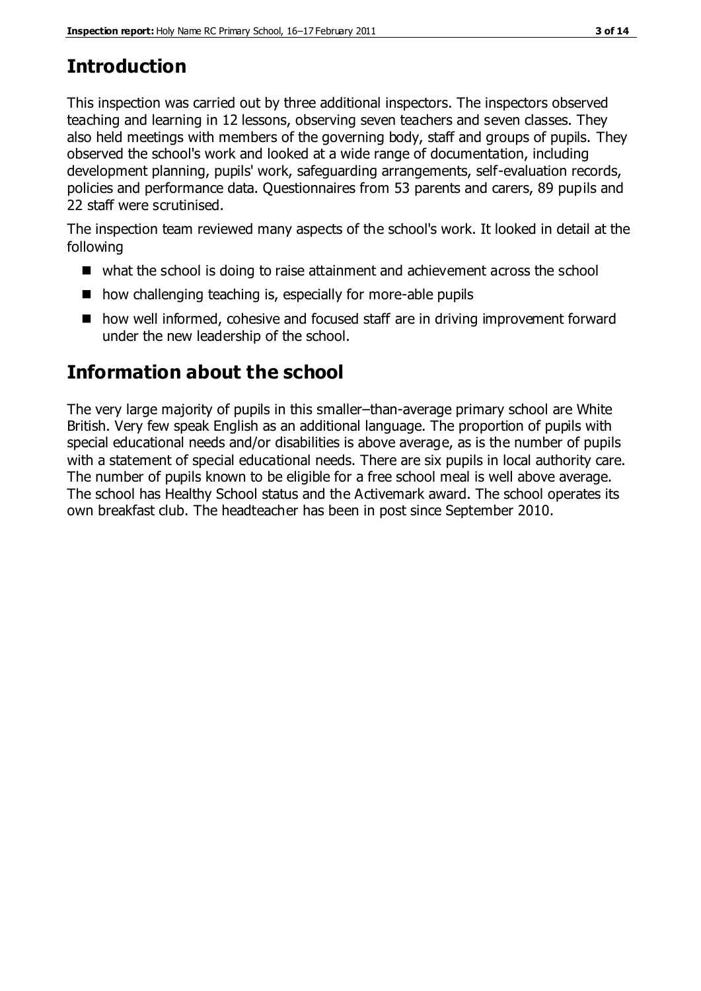# **Introduction**

This inspection was carried out by three additional inspectors. The inspectors observed teaching and learning in 12 lessons, observing seven teachers and seven classes. They also held meetings with members of the governing body, staff and groups of pupils. They observed the school's work and looked at a wide range of documentation, including development planning, pupils' work, safeguarding arrangements, self-evaluation records, policies and performance data. Questionnaires from 53 parents and carers, 89 pupils and 22 staff were scrutinised.

The inspection team reviewed many aspects of the school's work. It looked in detail at the following

- what the school is doing to raise attainment and achievement across the school
- how challenging teaching is, especially for more-able pupils
- how well informed, cohesive and focused staff are in driving improvement forward under the new leadership of the school.

# **Information about the school**

The very large majority of pupils in this smaller–than-average primary school are White British. Very few speak English as an additional language. The proportion of pupils with special educational needs and/or disabilities is above average, as is the number of pupils with a statement of special educational needs. There are six pupils in local authority care. The number of pupils known to be eligible for a free school meal is well above average. The school has Healthy School status and the Activemark award. The school operates its own breakfast club. The headteacher has been in post since September 2010.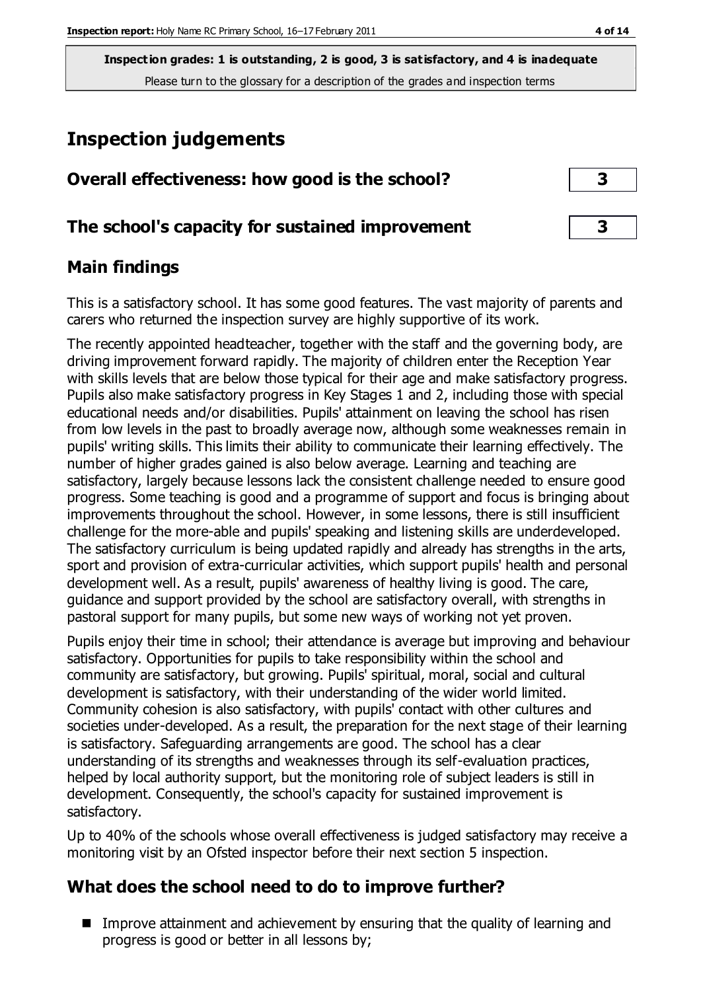**Inspection grades: 1 is outstanding, 2 is good, 3 is satisfactory, and 4 is inadequate** Please turn to the glossary for a description of the grades and inspection terms

# **Inspection judgements**

| Overall effectiveness: how good is the school?  | 3 |  |
|-------------------------------------------------|---|--|
| The school's capacity for sustained improvement | 3 |  |

## **Main findings**

This is a satisfactory school. It has some good features. The vast majority of parents and carers who returned the inspection survey are highly supportive of its work.

The recently appointed headteacher, together with the staff and the governing body, are driving improvement forward rapidly. The majority of children enter the Reception Year with skills levels that are below those typical for their age and make satisfactory progress. Pupils also make satisfactory progress in Key Stages 1 and 2, including those with special educational needs and/or disabilities. Pupils' attainment on leaving the school has risen from low levels in the past to broadly average now, although some weaknesses remain in pupils' writing skills. This limits their ability to communicate their learning effectively. The number of higher grades gained is also below average. Learning and teaching are satisfactory, largely because lessons lack the consistent challenge needed to ensure good progress. Some teaching is good and a programme of support and focus is bringing about improvements throughout the school. However, in some lessons, there is still insufficient challenge for the more-able and pupils' speaking and listening skills are underdeveloped. The satisfactory curriculum is being updated rapidly and already has strengths in the arts, sport and provision of extra-curricular activities, which support pupils' health and personal development well. As a result, pupils' awareness of healthy living is good. The care, guidance and support provided by the school are satisfactory overall, with strengths in pastoral support for many pupils, but some new ways of working not yet proven.

Pupils enjoy their time in school; their attendance is average but improving and behaviour satisfactory. Opportunities for pupils to take responsibility within the school and community are satisfactory, but growing. Pupils' spiritual, moral, social and cultural development is satisfactory, with their understanding of the wider world limited. Community cohesion is also satisfactory, with pupils' contact with other cultures and societies under-developed. As a result, the preparation for the next stage of their learning is satisfactory. Safeguarding arrangements are good. The school has a clear understanding of its strengths and weaknesses through its self-evaluation practices, helped by local authority support, but the monitoring role of subject leaders is still in development. Consequently, the school's capacity for sustained improvement is satisfactory.

Up to 40% of the schools whose overall effectiveness is judged satisfactory may receive a monitoring visit by an Ofsted inspector before their next section 5 inspection.

## **What does the school need to do to improve further?**

Improve attainment and achievement by ensuring that the quality of learning and progress is good or better in all lessons by;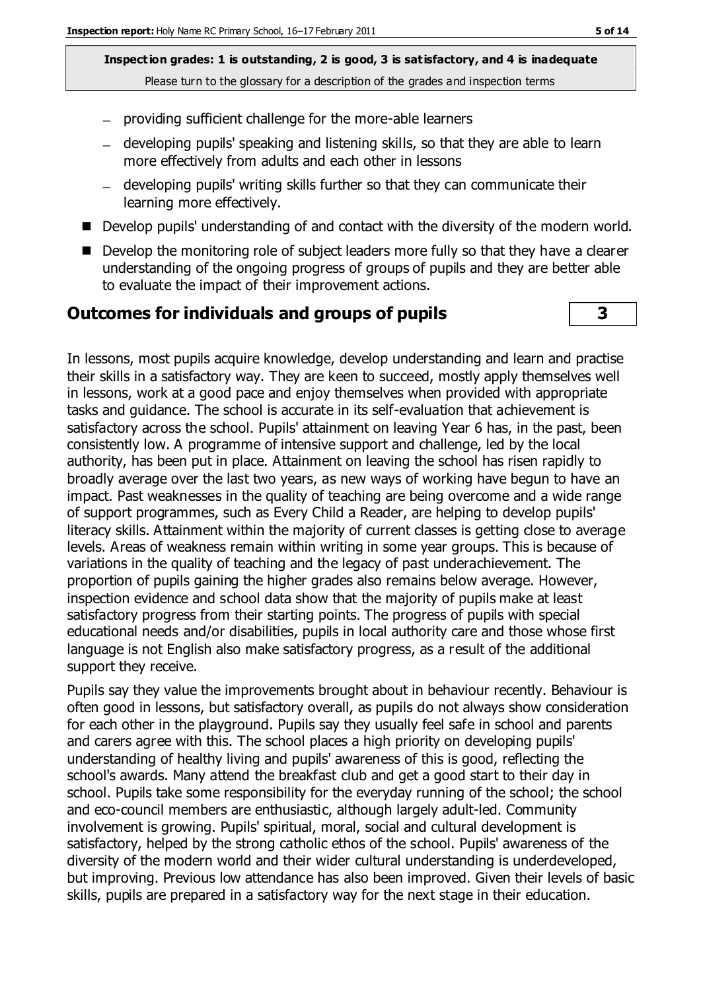**Inspection grades: 1 is outstanding, 2 is good, 3 is satisfactory, and 4 is inadequate** Please turn to the glossary for a description of the grades and inspection terms

- providing sufficient challenge for the more-able learners
- developing pupils' speaking and listening skills, so that they are able to learn more effectively from adults and each other in lessons
- developing pupils' writing skills further so that they can communicate their learning more effectively.
- Develop pupils' understanding of and contact with the diversity of the modern world.
- Develop the monitoring role of subject leaders more fully so that they have a clearer understanding of the ongoing progress of groups of pupils and they are better able to evaluate the impact of their improvement actions.

#### **Outcomes for individuals and groups of pupils 3**

In lessons, most pupils acquire knowledge, develop understanding and learn and practise their skills in a satisfactory way. They are keen to succeed, mostly apply themselves well in lessons, work at a good pace and enjoy themselves when provided with appropriate tasks and guidance. The school is accurate in its self-evaluation that achievement is satisfactory across the school. Pupils' attainment on leaving Year 6 has, in the past, been consistently low. A programme of intensive support and challenge, led by the local authority, has been put in place. Attainment on leaving the school has risen rapidly to broadly average over the last two years, as new ways of working have begun to have an impact. Past weaknesses in the quality of teaching are being overcome and a wide range of support programmes, such as Every Child a Reader, are helping to develop pupils' literacy skills. Attainment within the majority of current classes is getting close to average levels. Areas of weakness remain within writing in some year groups. This is because of variations in the quality of teaching and the legacy of past underachievement. The proportion of pupils gaining the higher grades also remains below average. However, inspection evidence and school data show that the majority of pupils make at least satisfactory progress from their starting points. The progress of pupils with special educational needs and/or disabilities, pupils in local authority care and those whose first language is not English also make satisfactory progress, as a result of the additional support they receive.

Pupils say they value the improvements brought about in behaviour recently. Behaviour is often good in lessons, but satisfactory overall, as pupils do not always show consideration for each other in the playground. Pupils say they usually feel safe in school and parents and carers agree with this. The school places a high priority on developing pupils' understanding of healthy living and pupils' awareness of this is good, reflecting the school's awards. Many attend the breakfast club and get a good start to their day in school. Pupils take some responsibility for the everyday running of the school; the school and eco-council members are enthusiastic, although largely adult-led. Community involvement is growing. Pupils' spiritual, moral, social and cultural development is satisfactory, helped by the strong catholic ethos of the school. Pupils' awareness of the diversity of the modern world and their wider cultural understanding is underdeveloped, but improving. Previous low attendance has also been improved. Given their levels of basic skills, pupils are prepared in a satisfactory way for the next stage in their education.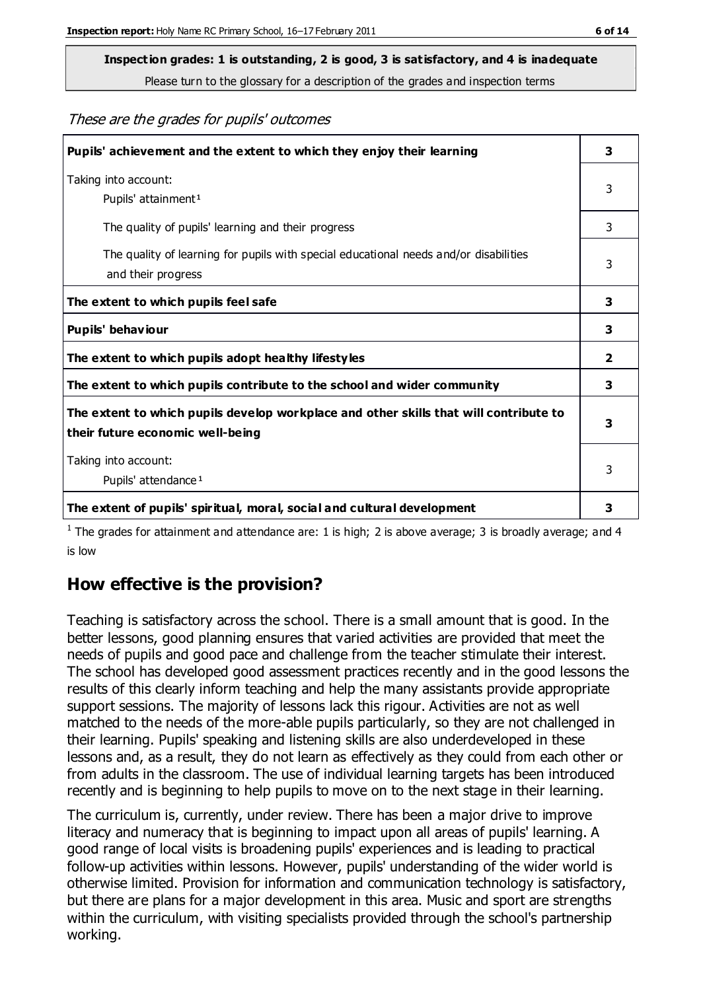**Inspection grades: 1 is outstanding, 2 is good, 3 is satisfactory, and 4 is inadequate**

Please turn to the glossary for a description of the grades and inspection terms

These are the grades for pupils' outcomes

| Pupils' achievement and the extent to which they enjoy their learning                                                     | 3                       |
|---------------------------------------------------------------------------------------------------------------------------|-------------------------|
| Taking into account:<br>Pupils' attainment <sup>1</sup>                                                                   | 3                       |
| The quality of pupils' learning and their progress                                                                        | 3                       |
| The quality of learning for pupils with special educational needs and/or disabilities<br>and their progress               | 3                       |
| The extent to which pupils feel safe                                                                                      | 3                       |
| Pupils' behaviour                                                                                                         | 3                       |
| The extent to which pupils adopt healthy lifestyles                                                                       | $\overline{\mathbf{2}}$ |
| The extent to which pupils contribute to the school and wider community                                                   | 3                       |
| The extent to which pupils develop workplace and other skills that will contribute to<br>their future economic well-being | 3                       |
| Taking into account:<br>Pupils' attendance <sup>1</sup>                                                                   | 3                       |
| The extent of pupils' spiritual, moral, social and cultural development                                                   | 3                       |

<sup>1</sup> The grades for attainment and attendance are: 1 is high; 2 is above average; 3 is broadly average; and 4 is low

## **How effective is the provision?**

Teaching is satisfactory across the school. There is a small amount that is good. In the better lessons, good planning ensures that varied activities are provided that meet the needs of pupils and good pace and challenge from the teacher stimulate their interest. The school has developed good assessment practices recently and in the good lessons the results of this clearly inform teaching and help the many assistants provide appropriate support sessions. The majority of lessons lack this rigour. Activities are not as well matched to the needs of the more-able pupils particularly, so they are not challenged in their learning. Pupils' speaking and listening skills are also underdeveloped in these lessons and, as a result, they do not learn as effectively as they could from each other or from adults in the classroom. The use of individual learning targets has been introduced recently and is beginning to help pupils to move on to the next stage in their learning.

The curriculum is, currently, under review. There has been a major drive to improve literacy and numeracy that is beginning to impact upon all areas of pupils' learning. A good range of local visits is broadening pupils' experiences and is leading to practical follow-up activities within lessons. However, pupils' understanding of the wider world is otherwise limited. Provision for information and communication technology is satisfactory, but there are plans for a major development in this area. Music and sport are strengths within the curriculum, with visiting specialists provided through the school's partnership working.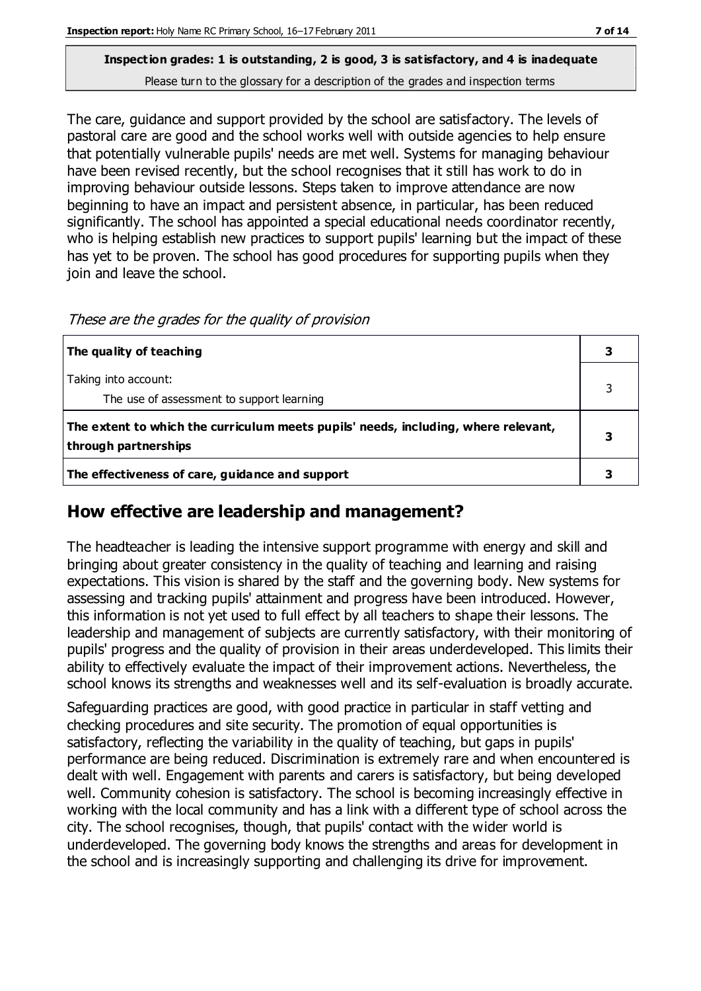#### **Inspection grades: 1 is outstanding, 2 is good, 3 is satisfactory, and 4 is inadequate** Please turn to the glossary for a description of the grades and inspection terms

The care, guidance and support provided by the school are satisfactory. The levels of pastoral care are good and the school works well with outside agencies to help ensure that potentially vulnerable pupils' needs are met well. Systems for managing behaviour have been revised recently, but the school recognises that it still has work to do in improving behaviour outside lessons. Steps taken to improve attendance are now beginning to have an impact and persistent absence, in particular, has been reduced significantly. The school has appointed a special educational needs coordinator recently, who is helping establish new practices to support pupils' learning but the impact of these has yet to be proven. The school has good procedures for supporting pupils when they join and leave the school.

| The quality of teaching                                                                                    |  |
|------------------------------------------------------------------------------------------------------------|--|
| Taking into account:<br>The use of assessment to support learning                                          |  |
| The extent to which the curriculum meets pupils' needs, including, where relevant,<br>through partnerships |  |
| The effectiveness of care, guidance and support                                                            |  |

#### These are the grades for the quality of provision

## **How effective are leadership and management?**

The headteacher is leading the intensive support programme with energy and skill and bringing about greater consistency in the quality of teaching and learning and raising expectations. This vision is shared by the staff and the governing body. New systems for assessing and tracking pupils' attainment and progress have been introduced. However, this information is not yet used to full effect by all teachers to shape their lessons. The leadership and management of subjects are currently satisfactory, with their monitoring of pupils' progress and the quality of provision in their areas underdeveloped. This limits their ability to effectively evaluate the impact of their improvement actions. Nevertheless, the school knows its strengths and weaknesses well and its self-evaluation is broadly accurate.

Safeguarding practices are good, with good practice in particular in staff vetting and checking procedures and site security. The promotion of equal opportunities is satisfactory, reflecting the variability in the quality of teaching, but gaps in pupils' performance are being reduced. Discrimination is extremely rare and when encountered is dealt with well. Engagement with parents and carers is satisfactory, but being developed well. Community cohesion is satisfactory. The school is becoming increasingly effective in working with the local community and has a link with a different type of school across the city. The school recognises, though, that pupils' contact with the wider world is underdeveloped. The governing body knows the strengths and areas for development in the school and is increasingly supporting and challenging its drive for improvement.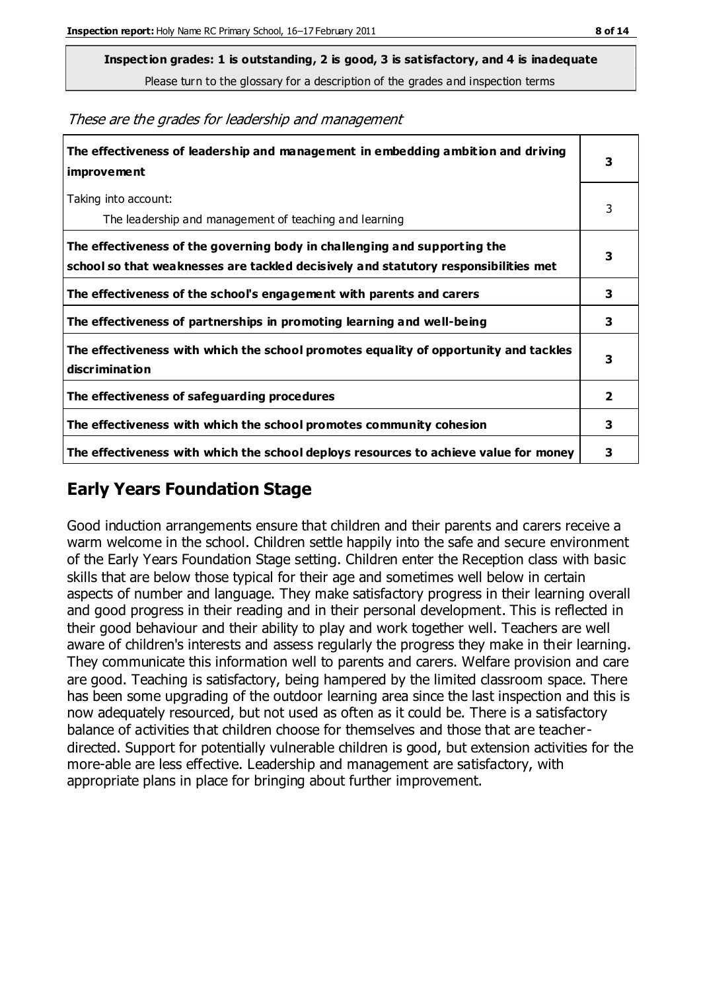**Inspection grades: 1 is outstanding, 2 is good, 3 is satisfactory, and 4 is inadequate**

Please turn to the glossary for a description of the grades and inspection terms

|  |  |  |  |  | These are the grades for leadership and management |
|--|--|--|--|--|----------------------------------------------------|
|--|--|--|--|--|----------------------------------------------------|

| The effectiveness of leadership and management in embedding ambition and driving<br>improvement                                                                  | 3              |
|------------------------------------------------------------------------------------------------------------------------------------------------------------------|----------------|
| Taking into account:<br>The leadership and management of teaching and learning                                                                                   | 3              |
| The effectiveness of the governing body in challenging and supporting the<br>school so that weaknesses are tackled decisively and statutory responsibilities met | 3              |
| The effectiveness of the school's engagement with parents and carers                                                                                             | 3              |
| The effectiveness of partnerships in promoting learning and well-being                                                                                           | 3              |
| The effectiveness with which the school promotes equality of opportunity and tackles<br>discrimination                                                           | 3              |
| The effectiveness of safeguarding procedures                                                                                                                     | $\overline{2}$ |
| The effectiveness with which the school promotes community cohesion                                                                                              | 3              |
| The effectiveness with which the school deploys resources to achieve value for money                                                                             | 3              |

#### **Early Years Foundation Stage**

Good induction arrangements ensure that children and their parents and carers receive a warm welcome in the school. Children settle happily into the safe and secure environment of the Early Years Foundation Stage setting. Children enter the Reception class with basic skills that are below those typical for their age and sometimes well below in certain aspects of number and language. They make satisfactory progress in their learning overall and good progress in their reading and in their personal development. This is reflected in their good behaviour and their ability to play and work together well. Teachers are well aware of children's interests and assess regularly the progress they make in their learning. They communicate this information well to parents and carers. Welfare provision and care are good. Teaching is satisfactory, being hampered by the limited classroom space. There has been some upgrading of the outdoor learning area since the last inspection and this is now adequately resourced, but not used as often as it could be. There is a satisfactory balance of activities that children choose for themselves and those that are teacherdirected. Support for potentially vulnerable children is good, but extension activities for the more-able are less effective. Leadership and management are satisfactory, with appropriate plans in place for bringing about further improvement.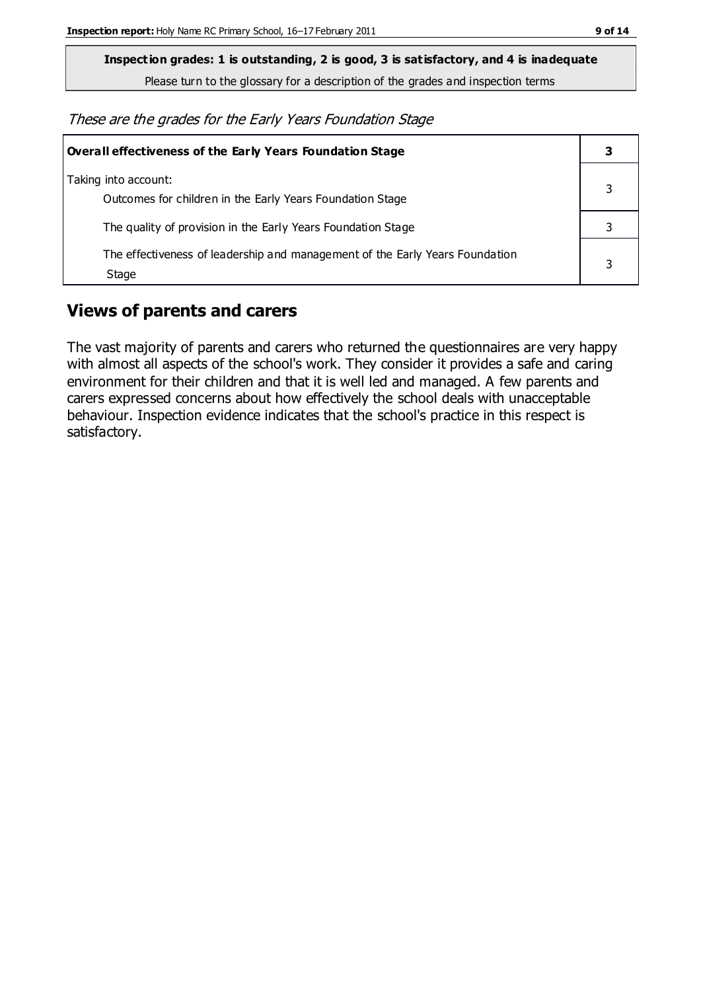**Inspection grades: 1 is outstanding, 2 is good, 3 is satisfactory, and 4 is inadequate**

Please turn to the glossary for a description of the grades and inspection terms

These are the grades for the Early Years Foundation Stage

| <b>Overall effectiveness of the Early Years Foundation Stage</b>                      | 3 |
|---------------------------------------------------------------------------------------|---|
| Taking into account:<br>Outcomes for children in the Early Years Foundation Stage     |   |
| The quality of provision in the Early Years Foundation Stage                          |   |
| The effectiveness of leadership and management of the Early Years Foundation<br>Stage |   |

## **Views of parents and carers**

The vast majority of parents and carers who returned the questionnaires are very happy with almost all aspects of the school's work. They consider it provides a safe and caring environment for their children and that it is well led and managed. A few parents and carers expressed concerns about how effectively the school deals with unacceptable behaviour. Inspection evidence indicates that the school's practice in this respect is satisfactory.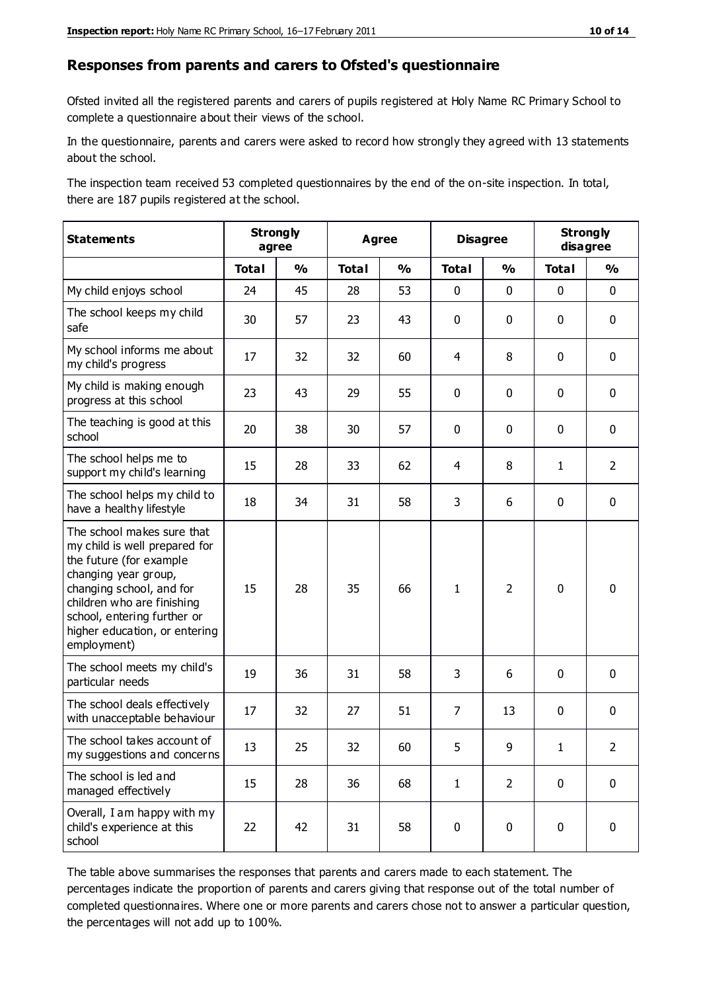#### **Responses from parents and carers to Ofsted's questionnaire**

Ofsted invited all the registered parents and carers of pupils registered at Holy Name RC Primary School to complete a questionnaire about their views of the school.

In the questionnaire, parents and carers were asked to record how strongly they agreed with 13 statements about the school.

The inspection team received 53 completed questionnaires by the end of the on-site inspection. In total, there are 187 pupils registered at the school.

| <b>Statements</b>                                                                                                                                                                                                                                       | <b>Strongly</b> | agree         |              | Agree         |                | <b>Disagree</b> | <b>Strongly</b> | disagree       |
|---------------------------------------------------------------------------------------------------------------------------------------------------------------------------------------------------------------------------------------------------------|-----------------|---------------|--------------|---------------|----------------|-----------------|-----------------|----------------|
|                                                                                                                                                                                                                                                         | <b>Total</b>    | $\frac{1}{2}$ | <b>Total</b> | $\frac{1}{2}$ | <b>Total</b>   | $\frac{0}{0}$   | <b>Total</b>    | $\frac{0}{0}$  |
| My child enjoys school                                                                                                                                                                                                                                  | 24              | 45            | 28           | 53            | 0              | $\mathbf 0$     | $\mathbf 0$     | $\mathbf 0$    |
| The school keeps my child<br>safe                                                                                                                                                                                                                       | 30              | 57            | 23           | 43            | 0              | $\mathbf 0$     | $\mathbf 0$     | $\mathbf 0$    |
| My school informs me about<br>my child's progress                                                                                                                                                                                                       | 17              | 32            | 32           | 60            | 4              | 8               | $\mathbf 0$     | $\mathbf 0$    |
| My child is making enough<br>progress at this school                                                                                                                                                                                                    | 23              | 43            | 29           | 55            | 0              | $\mathbf 0$     | $\mathbf 0$     | $\mathbf 0$    |
| The teaching is good at this<br>school                                                                                                                                                                                                                  | 20              | 38            | 30           | 57            | 0              | $\mathbf 0$     | $\mathbf 0$     | $\mathbf 0$    |
| The school helps me to<br>support my child's learning                                                                                                                                                                                                   | 15              | 28            | 33           | 62            | 4              | 8               | $\mathbf{1}$    | $\overline{2}$ |
| The school helps my child to<br>have a healthy lifestyle                                                                                                                                                                                                | 18              | 34            | 31           | 58            | 3              | 6               | $\mathbf 0$     | $\mathbf 0$    |
| The school makes sure that<br>my child is well prepared for<br>the future (for example<br>changing year group,<br>changing school, and for<br>children who are finishing<br>school, entering further or<br>higher education, or entering<br>employment) | 15              | 28            | 35           | 66            | $\mathbf{1}$   | $\overline{2}$  | $\mathbf 0$     | $\mathbf 0$    |
| The school meets my child's<br>particular needs                                                                                                                                                                                                         | 19              | 36            | 31           | 58            | 3              | 6               | $\mathbf 0$     | $\mathbf 0$    |
| The school deals effectively<br>with unacceptable behaviour                                                                                                                                                                                             | 17              | 32            | 27           | 51            | $\overline{7}$ | 13              | $\mathbf 0$     | $\mathbf 0$    |
| The school takes account of<br>my suggestions and concerns                                                                                                                                                                                              | 13              | 25            | 32           | 60            | 5              | 9               | 1               | $\overline{2}$ |
| The school is led and<br>managed effectively                                                                                                                                                                                                            | 15              | 28            | 36           | 68            | $\mathbf{1}$   | $\overline{2}$  | $\mathbf 0$     | $\mathbf 0$    |
| Overall, I am happy with my<br>child's experience at this<br>school                                                                                                                                                                                     | 22              | 42            | 31           | 58            | $\pmb{0}$      | $\mathbf 0$     | $\mathbf 0$     | $\pmb{0}$      |

The table above summarises the responses that parents and carers made to each statement. The percentages indicate the proportion of parents and carers giving that response out of the total number of completed questionnaires. Where one or more parents and carers chose not to answer a particular question, the percentages will not add up to 100%.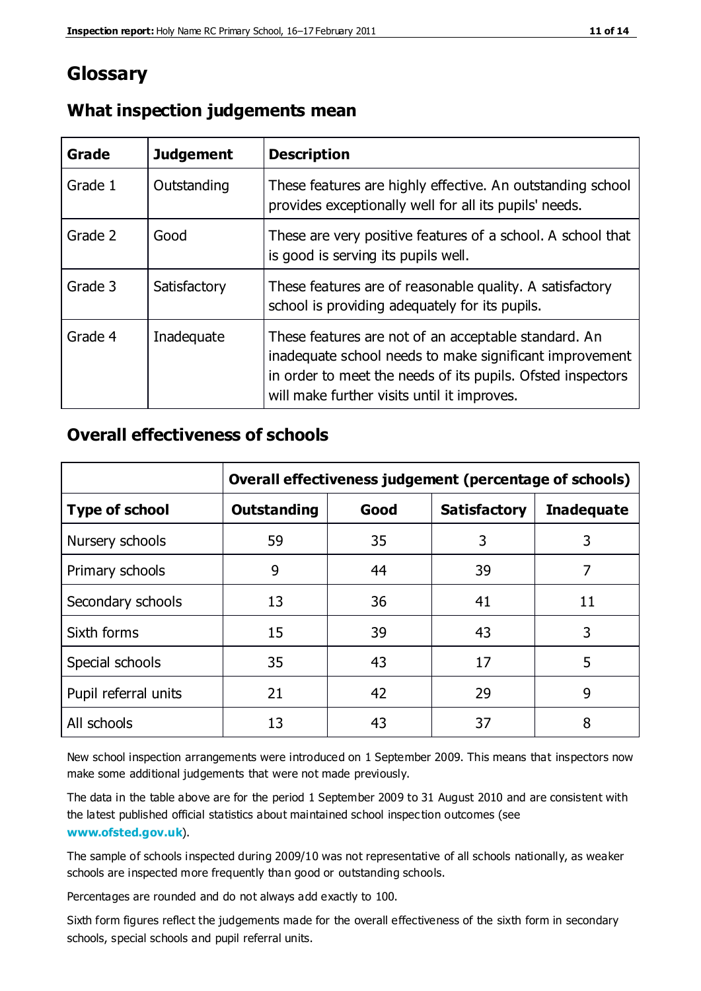## **Glossary**

| Grade   | <b>Judgement</b> | <b>Description</b>                                                                                                                                                                                                            |
|---------|------------------|-------------------------------------------------------------------------------------------------------------------------------------------------------------------------------------------------------------------------------|
| Grade 1 | Outstanding      | These features are highly effective. An outstanding school<br>provides exceptionally well for all its pupils' needs.                                                                                                          |
| Grade 2 | Good             | These are very positive features of a school. A school that<br>is good is serving its pupils well.                                                                                                                            |
| Grade 3 | Satisfactory     | These features are of reasonable quality. A satisfactory<br>school is providing adequately for its pupils.                                                                                                                    |
| Grade 4 | Inadequate       | These features are not of an acceptable standard. An<br>inadequate school needs to make significant improvement<br>in order to meet the needs of its pupils. Ofsted inspectors<br>will make further visits until it improves. |

#### **What inspection judgements mean**

#### **Overall effectiveness of schools**

|                       | Overall effectiveness judgement (percentage of schools) |      |                     |                   |
|-----------------------|---------------------------------------------------------|------|---------------------|-------------------|
| <b>Type of school</b> | <b>Outstanding</b>                                      | Good | <b>Satisfactory</b> | <b>Inadequate</b> |
| Nursery schools       | 59                                                      | 35   | 3                   | 3                 |
| Primary schools       | 9                                                       | 44   | 39                  | 7                 |
| Secondary schools     | 13                                                      | 36   | 41                  | 11                |
| Sixth forms           | 15                                                      | 39   | 43                  | 3                 |
| Special schools       | 35                                                      | 43   | 17                  | 5                 |
| Pupil referral units  | 21                                                      | 42   | 29                  | 9                 |
| All schools           | 13                                                      | 43   | 37                  | 8                 |

New school inspection arrangements were introduced on 1 September 2009. This means that inspectors now make some additional judgements that were not made previously.

The data in the table above are for the period 1 September 2009 to 31 August 2010 and are consistent with the latest published official statistics about maintained school inspec tion outcomes (see **[www.ofsted.gov.uk](http://www.ofsted.gov.uk/)**).

The sample of schools inspected during 2009/10 was not representative of all schools nationally, as weaker schools are inspected more frequently than good or outstanding schools.

Percentages are rounded and do not always add exactly to 100.

Sixth form figures reflect the judgements made for the overall effectiveness of the sixth form in secondary schools, special schools and pupil referral units.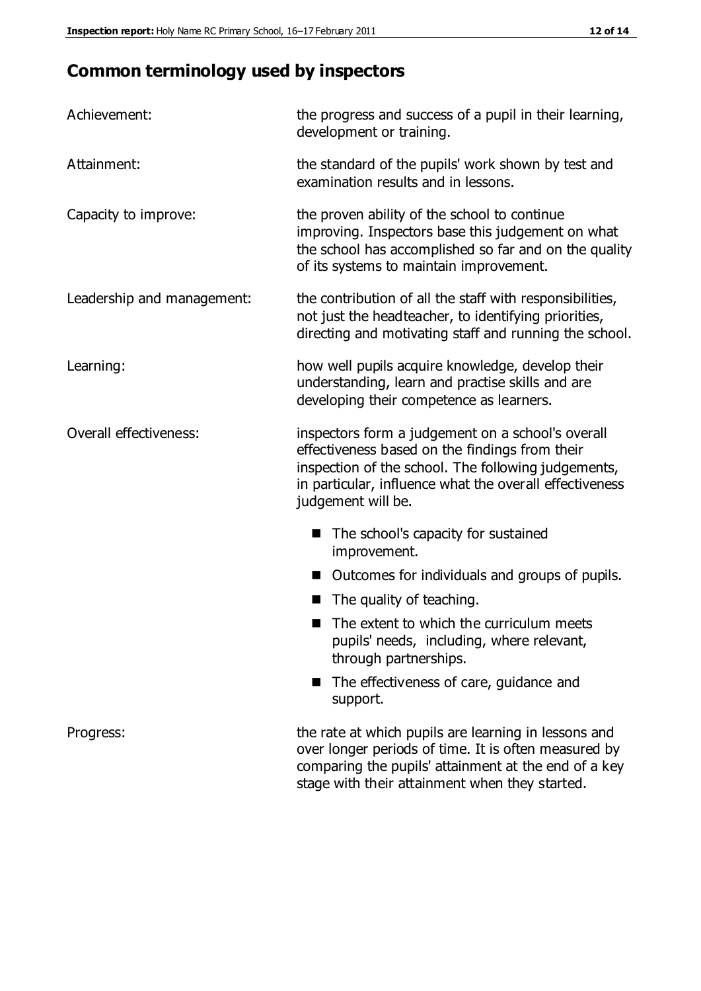# **Common terminology used by inspectors**

| Achievement:               | the progress and success of a pupil in their learning,<br>development or training.                                                                                                                                                          |
|----------------------------|---------------------------------------------------------------------------------------------------------------------------------------------------------------------------------------------------------------------------------------------|
| Attainment:                | the standard of the pupils' work shown by test and<br>examination results and in lessons.                                                                                                                                                   |
| Capacity to improve:       | the proven ability of the school to continue<br>improving. Inspectors base this judgement on what<br>the school has accomplished so far and on the quality<br>of its systems to maintain improvement.                                       |
| Leadership and management: | the contribution of all the staff with responsibilities,<br>not just the headteacher, to identifying priorities,<br>directing and motivating staff and running the school.                                                                  |
| Learning:                  | how well pupils acquire knowledge, develop their<br>understanding, learn and practise skills and are<br>developing their competence as learners.                                                                                            |
| Overall effectiveness:     | inspectors form a judgement on a school's overall<br>effectiveness based on the findings from their<br>inspection of the school. The following judgements,<br>in particular, influence what the overall effectiveness<br>judgement will be. |
|                            | The school's capacity for sustained<br>improvement.                                                                                                                                                                                         |
|                            | Outcomes for individuals and groups of pupils.                                                                                                                                                                                              |
|                            | The quality of teaching.                                                                                                                                                                                                                    |
|                            | The extent to which the curriculum meets<br>pupils' needs, including, where relevant,<br>through partnerships.                                                                                                                              |
|                            | The effectiveness of care, guidance and<br>support.                                                                                                                                                                                         |
| Progress:                  | the rate at which pupils are learning in lessons and<br>over longer periods of time. It is often measured by<br>comparing the pupils' attainment at the end of a key                                                                        |

stage with their attainment when they started.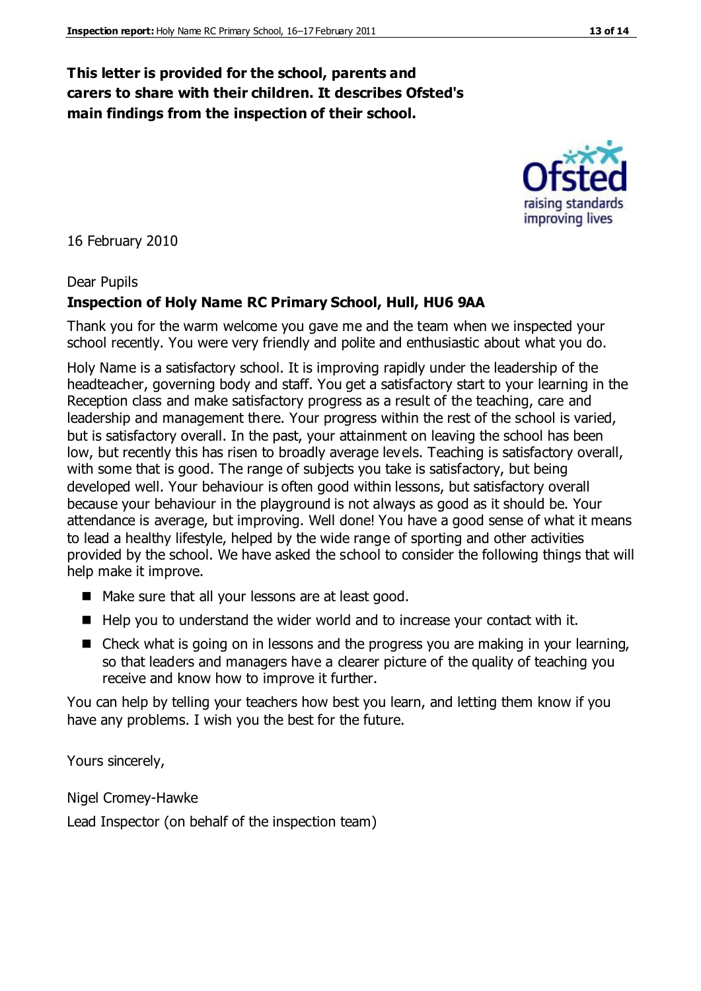#### **This letter is provided for the school, parents and carers to share with their children. It describes Ofsted's main findings from the inspection of their school.**

16 February 2010

#### Dear Pupils

#### **Inspection of Holy Name RC Primary School, Hull, HU6 9AA**

Thank you for the warm welcome you gave me and the team when we inspected your school recently. You were very friendly and polite and enthusiastic about what you do.

Holy Name is a satisfactory school. It is improving rapidly under the leadership of the headteacher, governing body and staff. You get a satisfactory start to your learning in the Reception class and make satisfactory progress as a result of the teaching, care and leadership and management there. Your progress within the rest of the school is varied, but is satisfactory overall. In the past, your attainment on leaving the school has been low, but recently this has risen to broadly average levels. Teaching is satisfactory overall, with some that is good. The range of subjects you take is satisfactory, but being developed well. Your behaviour is often good within lessons, but satisfactory overall because your behaviour in the playground is not always as good as it should be. Your attendance is average, but improving. Well done! You have a good sense of what it means to lead a healthy lifestyle, helped by the wide range of sporting and other activities provided by the school. We have asked the school to consider the following things that will help make it improve.

- Make sure that all your lessons are at least good.
- $\blacksquare$  Help you to understand the wider world and to increase your contact with it.
- Check what is going on in lessons and the progress you are making in your learning, so that leaders and managers have a clearer picture of the quality of teaching you receive and know how to improve it further.

You can help by telling your teachers how best you learn, and letting them know if you have any problems. I wish you the best for the future.

Yours sincerely,

Nigel Cromey-Hawke

Lead Inspector (on behalf of the inspection team)